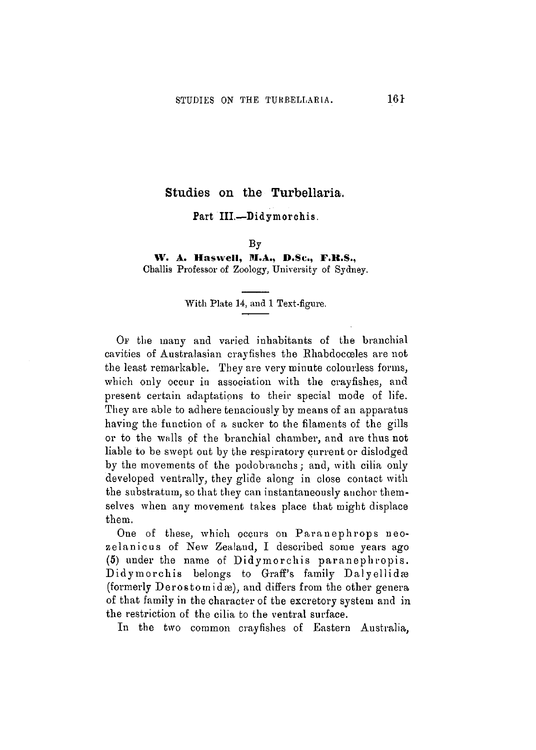## Studies on the Turbellaria.

## Part III.—Didymorchis.

#### By

### **W. A. Haswell, M.A., D.Sc, F.K.S.,** Challis Professor of Zoology, University of Sydney.

#### With Plate 14, and 1 Test-figure.

OP the many and varied inhabitants of the branchial cavities of Australasian crayfishes the Ehabdocceles are not the least remarkable. They are very minute colourless forms, which only occur in association with the crayfishes, and present certain adaptations to their special mode of life. They are able to adhere tenaciously by means of an apparatus having the function of a sucker to the filaments of the gills or to the walls of the branchial chamber, and are thus not liable to be swept out by the respiratory current or dislodged by the movements of the podobranchs; and, with cilia only developed ventrally, they glide along in close contact with the substratum, so that they can instantaneously anchor themselves when any movement takes place that might displace them.

One of these, which occurs on Paranephrops neozelanicus of New Zealand, I described some years ago (5) under the name of Didymorchis paranephropis. Didymorchis belongs to Graff's family Dalyellidas (formerly Derostornidas), and differs from the other genera of that family in the character of the excretory system and in the restriction of the cilia to the ventral surface.

In the two common crayfishes of Eastern Australia,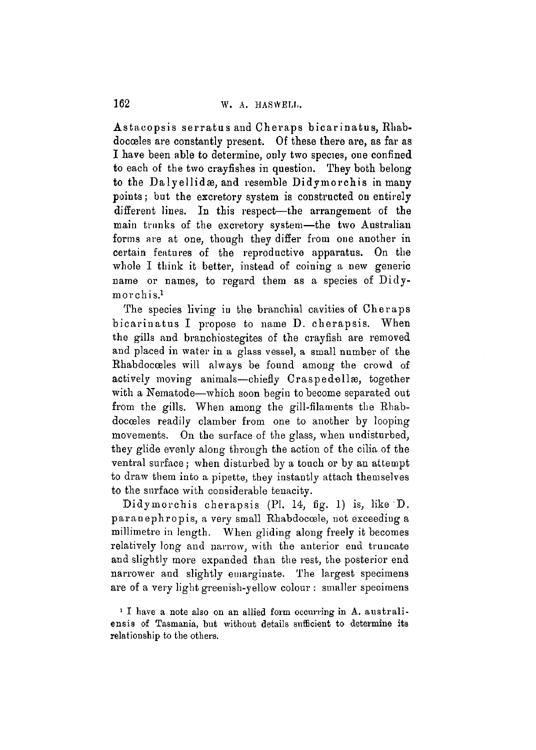Astacopsis serratus and Cheraps bicarinatus, Rhabdocceles are constantly present. Of these there are, as far as I have been able to determine, only two species, one confined to each of the two crayfishes in question. They both belong to the Dalyellidæ, and resemble Didymorchis in many points; but the excretory system is constructed ou entirely different lines. In this respect—the arrangement of the main trunks of the excretory system—the two Australian forms are at one, though they differ from one another in certain features of the reproductive apparatus. On the whole I think it better, instead of coining a new generic name or names, to regard them as a species of Didymorchis.<sup>1</sup>

The species living iu the branchial cavities of Cheraps bicarinatus I propose to name D. cherapsis. When the gills and branchiostegites of the crayfish are removed and placed in water in a glass vessel, a small number of the Rhabdocceles will always be found among the crowd of actively moving animals—chiefly Craspedellas, together with a Nematode—which soon begin to become separated out from the gills. When among the gill-filaments the Rbabdocoeles readily clamber from one to another by looping movements. On the surface of the glass, when undisturbed, they glide evenly along through the action of the cilia of the ventral surface; when disturbed by a touch or by an attempt to draw them into a pipette, they instantly attach themselves to the surface with considerable tenacity.

Didymorchis cherapsis (PI. 14, fig. 1) is, like D. paranephropis, a very small Rhabdocoele, not exceeding a millimetre in length. When gliding along freely it becomes relatively long and narrow, with the anterior end truncate and slightly more expanded than the rest, the posterior end narrower and slightly emarginate. The largest specimens are of a very light greenish-yellow colour : smaller specimens

<sup>1</sup> I have a note also on an allied form occurring in A. australi ensis of Tasmania, but without details sufficient to determine its relationship to the others.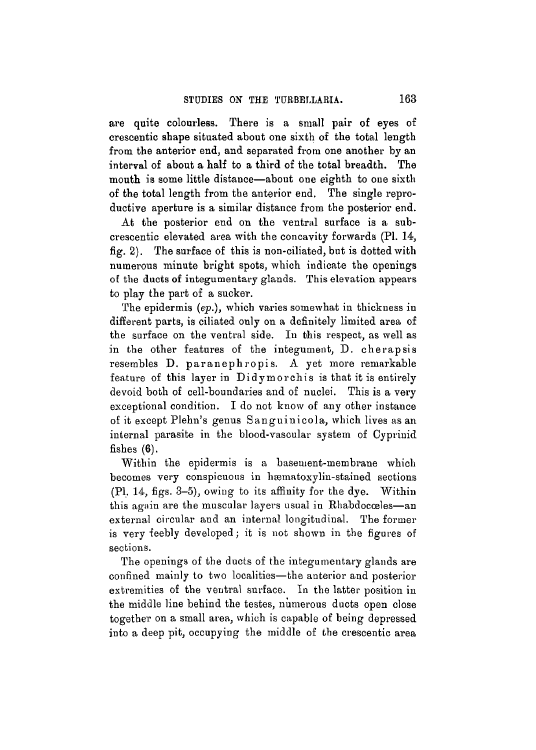are quite colourless. There is a small pair of eyes of crescentic shape situated about one sixth of the total length from the anterior end, and separated from one another by an interval of about a half to a third of the total breadth. The mouth is some little distance—about one eighth to oue sixth of the total length from the anterior end. The single reproductive aperture is a similar distance from the posterior end.

At the posterior end on the ventral surface is a subcrescentic elevated area with the concavity forwards (PI. 14, fig. 2). The surface of this is non-ciliated, but is dotted with numerous minute bright spots, which indicate the openings of the ducts of integumentary glands. This elevation appears to play the part of a sucker.

The epidermis *(ep.),* which varies somewhat in thickness in different parts, is ciliated only on a definitely limited area of the surface on the ventral side. In this respect, as well as in the other features of the integument, D. cherapsis resembles D. paranephropis. A yet more remarkable feature of this layer in Didymorchis is that it is entirely devoid both of cell-boundaries and of nuclei. This is a very exceptional condition. I do not know of any other instance of it except Plehn's genus Sanguinicola , which lives as an internal parasite in the blood-vascular system of Cyprinid fishes  $(6)$ .

Within the epidermis is a basement-membrane which becomes very conspicuous in hæmatoxylin-stained sections (PI. 14, figs. 3-5), owing to its affinity for the dye. Within this again are the muscular layers usual in Rliabdocceles—an external circular and an internal longitudinal. The former is very feebly developed; it is not shown in the figures of sections.

The openings of the ducts of the integumentary glands are confined mainly to two localities—the anterior and posterior extremities of the ventral surface. In the latter position in the middle line behind the testes, numerous ducts open close together on a small area, which is capable of being depressed into a deep pit, occupying the middle of the crescentic area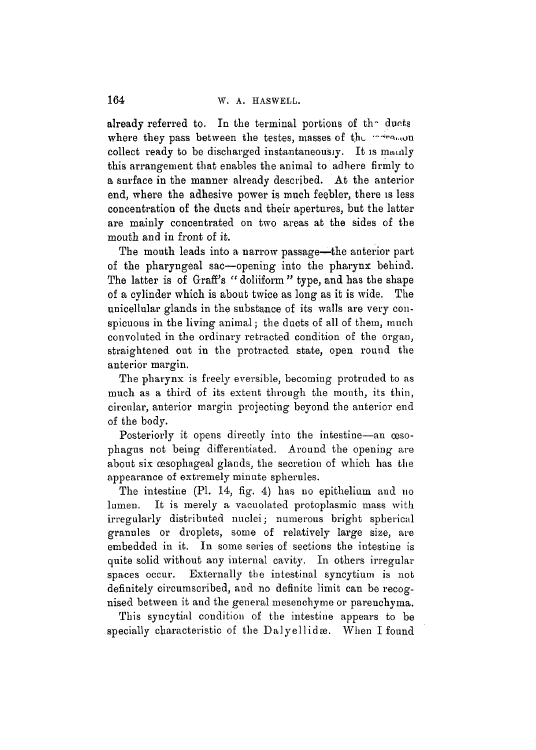already referred to. In the terminal portions of the ducts where they pass between the testes, masses of the second collect ready to be discharged instantaneously. It is mainly this arrangement that enables the animal to adhere firmly to a surface in the manner already described. At the anterior end, where the adhesive power is much feebler, there is less concentration of the ducts and their apertures, but the latter are mainly concentrated on two areas at the sides of the mouth and in front of it.

The mouth leads into a narrow passage—the anterior part of the pharyngeal sac—opening into the pharynx behind. The latter is of Graff's *"* doliiform " type, and has the shape of a cylinder which is about twice as long as it is wide. The unicellular glands in the substance of its walls are very conspicuous in the living animal; the ducts of all of them, much convoluted in the ordinary retracted condition of the organ, straightened out in the protracted state, open round the anterior margin.

The pharynx is freely eversible, becoming protruded to as much as a third of its extent through the mouth, its thin, circular, anterior margin projecting beyond the anterior end of the body.

Posteriorly it opens directly into the intestine—an œsophagus not being differentiated. Around the opening are about six cesophageal glands, the secretion of which has the appearance of extremely minute spherules.

The intestine (PI. 14, fig. 4) has no epithelium and no lumen. It is merely a vacuolated protoplasmic mass with irregularly distributed nuclei; numerous bright spherical granules or droplets, some of relatively large size, are embedded in it. In some series of sections the intestine is quite solid without any internal cavity. In others irregular spaces occur. Externally the intestinal syncytium is not definitely circumscribed, and no definite limit can be recognised between it and the general mesenchyme or parenchyma.

This syncytial condition of the intestine appears to be specially characteristic of the Dalyellidae. When I found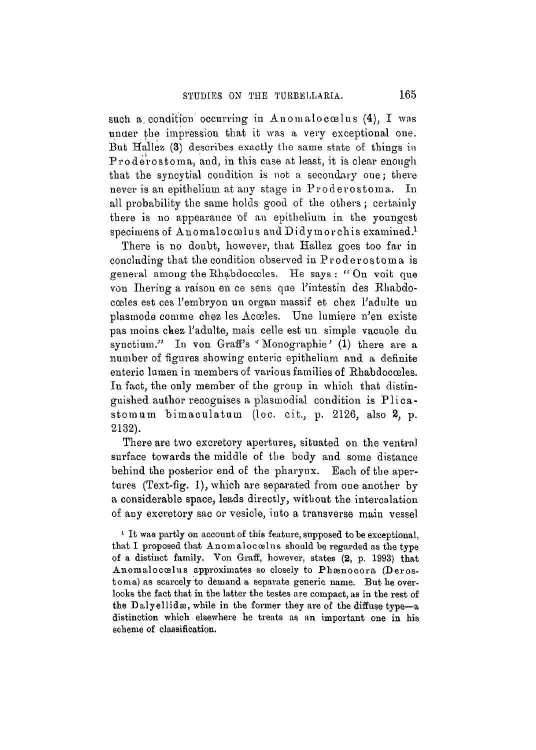such a condition occurring in Anomalocoelus (4), I was under the impression that it was a very exceptional one. But Hallez (3) describes exactly the same state of things in Proderostoma, and, in this case at least, it is clear enough that the syncytial condition is not a secondary one; there never is an epithelium at any stage in Proderostoma. In all probability the same holds good of the others ; certainly there is no appearance of an epithelium in the youngest specimens of Anomalocoelus and Didymorchis examined.<sup>1</sup>

There is no doubt, however, that Hallez goes too far in concluding that the condition observed in Proderostoma is general among the Rhabdococles. He says : " On voit que von Ihering a raison en ce sens que l'intestin des Rhabdocoales est ces l'embryon un organ massif et chez l'adulte un plasmode comme chez les Acoeles. Une lumiere n'en existe pas moins chez l'adulte, mais celle est un simple vacuole du synctium." In von Graff's *''* Monographie*'* (1) there are a number of figures showing enteric epithelium and a definite enteric lumen in members of various families of Rhabdocceles. In fact, the only member of the group in which that distinguished author recognises a plasmodial condition is Plica stomum bimaculatum (loc. cit., p. 2126, also 2, p. 2132).

There are two excretory apertures, situated on the ventral surface towards the middle of the body and some distance behind the posterior end of the pharynx. Each of the apertures (Text-fig. 1), which are separated from one another by a considerable space, leads directly, without the intercalation of any excretory sac or vesicle, into a transverse main vessel

<sup>1</sup> It was partly on account of this feature, supposed to be exceptional. that I proposed that Anomalocoulus should be regarded as the type of a distinct family. Von Graff, however, states (2, p. 1993) that Anomalocoelus approximates so closely to Phænocora (Derostoma) as scarcely to demand a separate generic name. But he over- looks the fact that in the latter the testes are compact, as in the rest of the Dalyellidæ, while in the former they are of the diffuse type-a distinction which elsewhere he treats as an important one in his scheme of classification.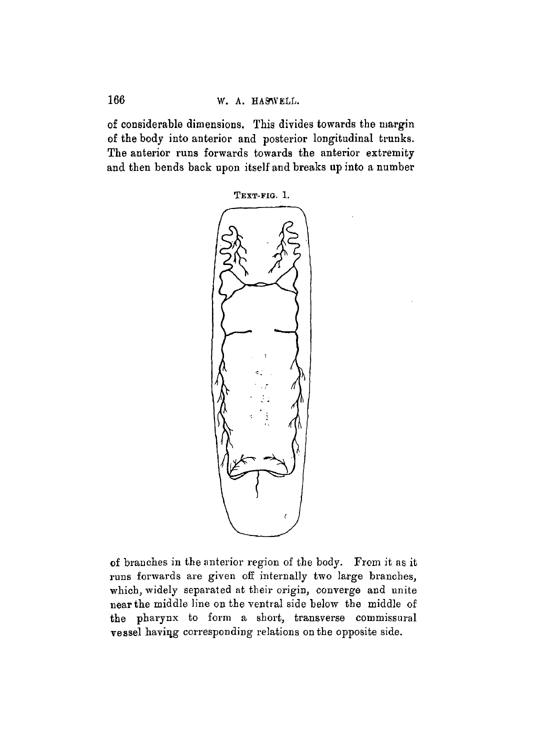166 W. A. HASWELL.

of considerable dimensions. This divides towards the margin of the body into anterior and posterior longitudinal trunks. The anterior runs forwards towards the anterior extremity and then bends back upon itself and breaks up into a number



of branches in the anterior region of the body. From it as it runs forwards are given off internally two large branches, which, widely separated at their origin, converge and unite near the middle line on the ventral side below the middle of the pharynx to form a short, transverse commissural vessel haviqg corresponding relations on the opposite side.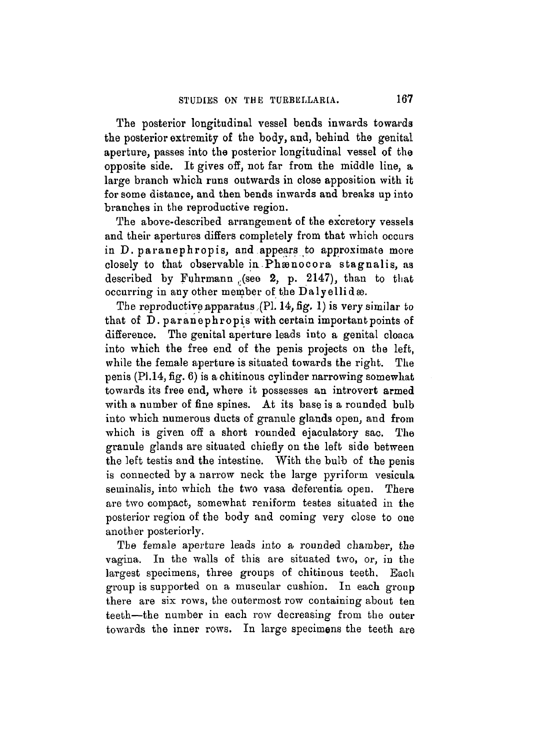The posterior longitudinal vessel bends inwards towards the posterior extremity of the body, and, behind the genital aperture, passes into the posterior longitudinal vessel of the opposite side. It gives off, not far from the middle line, a large branch which runs outwards in close apposition with it for some distance, and then bends inwards and breaks up into branches in the reproductive region.

The above-described arrangement of the excretory vessels and their apertures differs completely from that which occurs in D. paranephropis, and appears to approximate more closely to that observable in Phænocora stagnalis, as described by Fuhrmann .(see  $2$ , p. 2147), than to that occurring in any other member of the Dalyellidas.

The reproductive apparatus,(PL 14, fig. 1) is very similar to that of D. paranephropis with certain important points of difference. The genital aperture leads into a genital cloaca into which the free end of the penis projects on the left, while the female aperture is situated towards the right. The penis (PI.14, fig. 6) is achitinous cylinder narrowing somewhat towards its free end, where it possesses an introvert armed with a number of fine spines. At its base is a rounded bulb into which numerous ducts of granule glands open, and from which is given off a short rounded ejaculatory sac. The granule glands are situated chiefly on the left side between the left testis and the intestine. With the bulb of the penis is connected by a narrow neck the large pyriform vesicula seminalis, into which the two vasa deferentia open. There are two compact, somewhat reniform testes situated in the posterior region of the body and coming very close to oue another posteriorly.

Tbe female aperture leads into a rounded chamber, the vagina. In the walls of this are situated two, or, in the largest specimens, three groups of chitinous teeth. Each group is supported on a muscular cushion. In each group there are six rows, the outermost row containing about ten teeth—the number in each row decreasing from the outer towards the inner rows. In large specimens the teeth are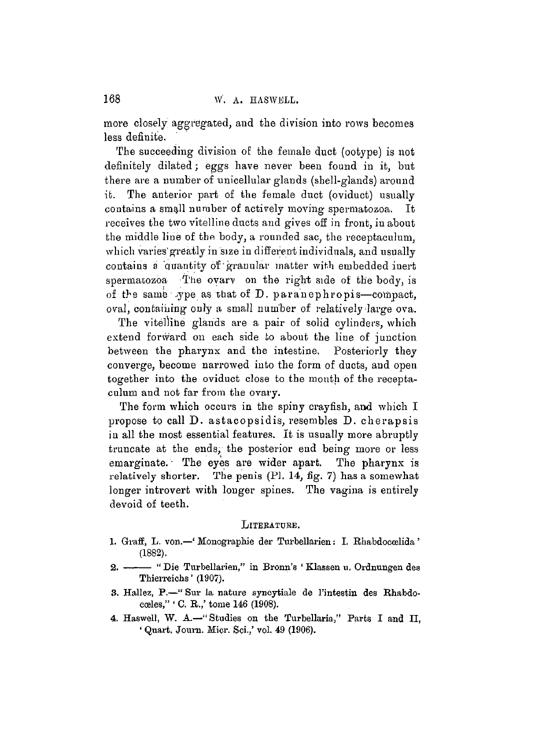more closely aggregated, and the division into rows becomes less definite.

The succeeding division of the female duct (ootype) is not definitely dilated; eggs have never been found in it, but there are a number of unicellular glands (shell-glands) around it. The anterior part of the female duct (oviduct) usually contains a small number of actively moving spermatozoa. It receives the two vitelline ducts and gives off in front, iu about the middle line of the body, a rounded sac, the receptaculum, which varies'greatly in size in different individuals, and usually contains a quantity of granular matter with embedded inert spermatozoa The ovary on the right side of the body, is of the same voe as that of D. paranephropis—compact. oval, containing only a small number of relatively large ova.

The vitellihe glands are a pair of solid cylinders, which extend forward on each side to about the line of junction between the pharynx and the intestine. Posteriorly they converge, become narrowed into the form of ducts, and open together into the oviduct close to the mouth of the receptaculum and not far from the ovary.

The form which occurs in the spiny crayfish, and which I propose to call D. astacopsidis, resembles D. cherapsis in all the most essential features. It is usually more abruptly truncate at the ends, the posterior end being more or less emarginate. The eyes are wider apart. The pharynx is relatively shorter. The penis (Pl. 14, fig. 7) has a somewhat longer introvert with longer spines. The vagina is entirely devoid of teeth.

#### LITERATURE.

- 1. Graff, L. von.—' Monographie der Turbellarien: I. Rhabdoccelida ' (1882).
- 2. --- "Die Turbellarien," in Bronn's 'Klassen u. Ordnungen des Thierreichs' (1907).
- 3. Hallez, P.—" Sur la nature syncytiale de l'intestin des Rhabdocoeles," ' C. R.,' tome 146 (1908).
- 4. Haswell, W. A.—"Studies on the Turbellaria," Parts I and II, ' Quart. Journ. Micr. Sci.,' vol. 49 (1906).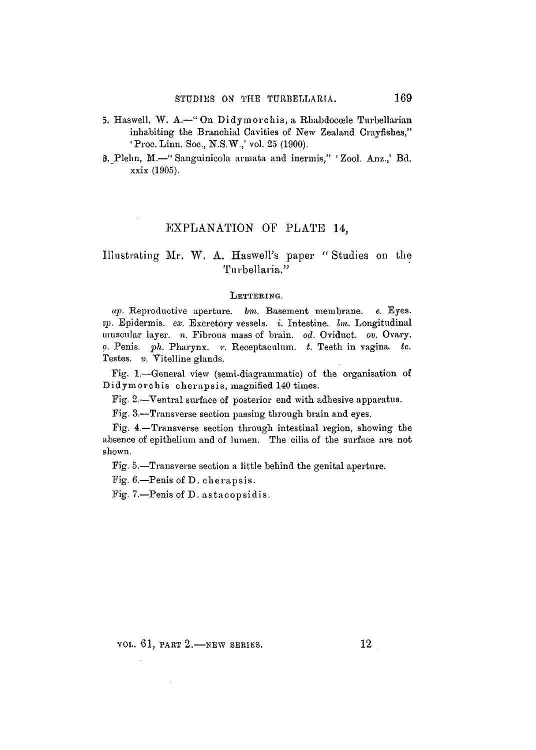- 5. Haswell, W. A.—"On Didymorchis, a Rhabdoccele Turbellarian inhabiting the Branchial Cavities of New Zealand Crayfishes," 'Proc. Linn. Soc, N.S.W,' vol. 25 (1900).
- 6. Plelm, BI.—" Sanguinicola arinata and inermis," ' Zool. Anz.,' Bd. xxix (1905).

# EXPLANATION OF PLATE *U,*

# Illustrating Mr. W. A. Haswell's paper " Studies on the Turbellaria."

#### LETTERING.

*ap.* Reproductive aperture, *bin.* Basement membrane, e. Eyes. *ep.* Epidermis, *ex.* Excretory vessels, *i.* Intestine, *hn.* Longitudinal muscular layer, *n.* Fibrous mass of brain, *od.* Oviduct, *ov.* Ovary. *p.* Penis, *ph.* Pharynx, r. Reoeptacnlum. *t.* Teeth in vagina, *te.* Testes. *v.* Vitelline glands.

Fig. 1.—General view (semi-diagrammatic) of the organisation of Didymorchis cherapsis, magnified 140 times.

Fig. 2.—Ventral surface of posterior end with adhesive apparatus.

Fig. 3.—Transverse section passing through brain and eyes.

Fig. 4.— Transverse section through intestinal region, showing the absence of epithelium and of lumen. The cilia of the surface are not shown.

Fig. 5.—Transverse section a little behind the genital aperture.

Fig. 6.—Penis of D. cherapsis.

Fig. 7.—Penis of D. astacopsidis.